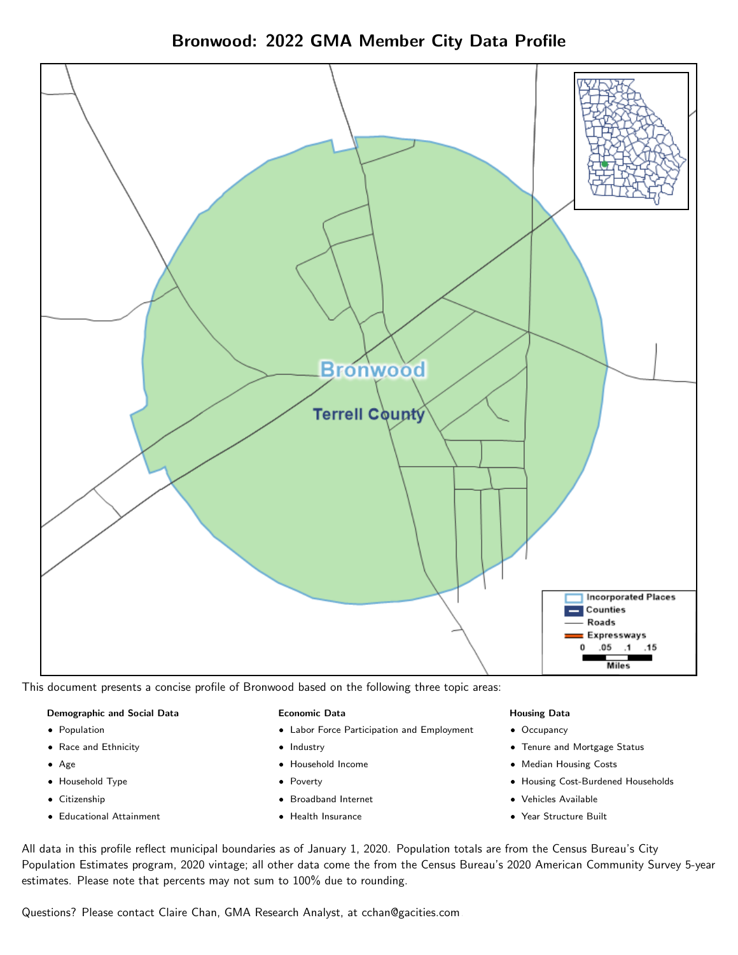



This document presents a concise profile of Bronwood based on the following three topic areas:

#### Demographic and Social Data

- **•** Population
- Race and Ethnicity
- Age
- Household Type
- **Citizenship**
- Educational Attainment

#### Economic Data

- Labor Force Participation and Employment
- Industry
- Household Income
- Poverty
- Broadband Internet
- Health Insurance

#### Housing Data

- Occupancy
- Tenure and Mortgage Status
- Median Housing Costs
- Housing Cost-Burdened Households
- Vehicles Available
- Year Structure Built

All data in this profile reflect municipal boundaries as of January 1, 2020. Population totals are from the Census Bureau's City Population Estimates program, 2020 vintage; all other data come the from the Census Bureau's 2020 American Community Survey 5-year estimates. Please note that percents may not sum to 100% due to rounding.

Questions? Please contact Claire Chan, GMA Research Analyst, at [cchan@gacities.com.](mailto:cchan@gacities.com)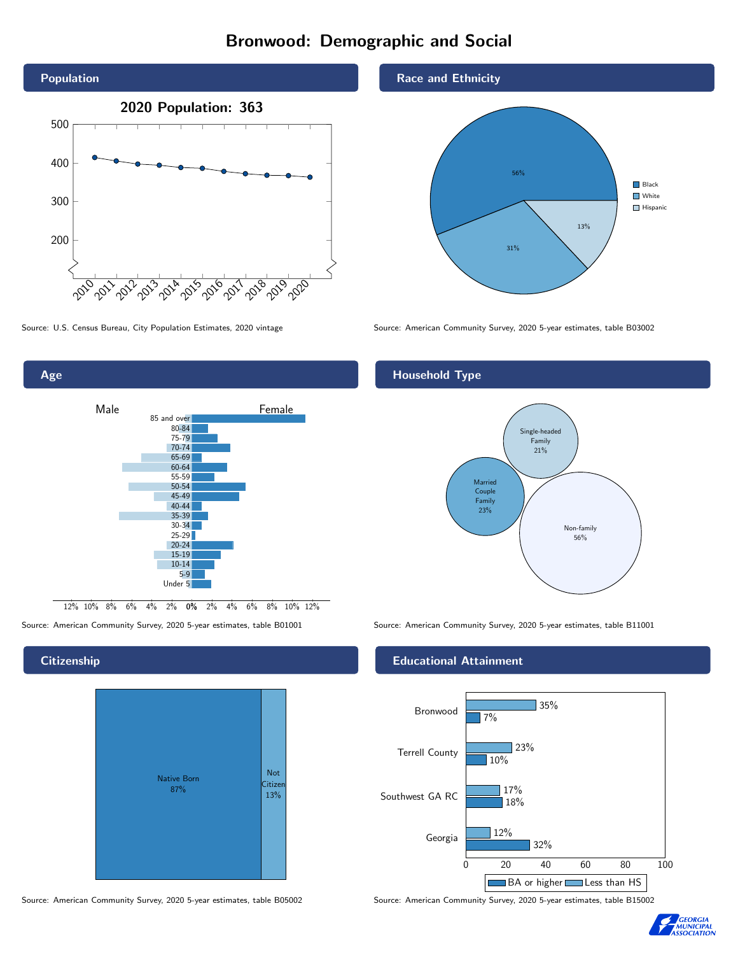# Bronwood: Demographic and Social





Source: American Community Survey, 2020 5-year estimates, table B01001 Source: American Community Survey, 2020 5-year estimates, table B11001

# **Citizenship**

Age



Source: American Community Survey, 2020 5-year estimates, table B05002 Source: American Community Survey, 2020 5-year estimates, table B15002

Race and Ethnicity



Source: U.S. Census Bureau, City Population Estimates, 2020 vintage Source: American Community Survey, 2020 5-year estimates, table B03002

# Household Type



#### Educational Attainment



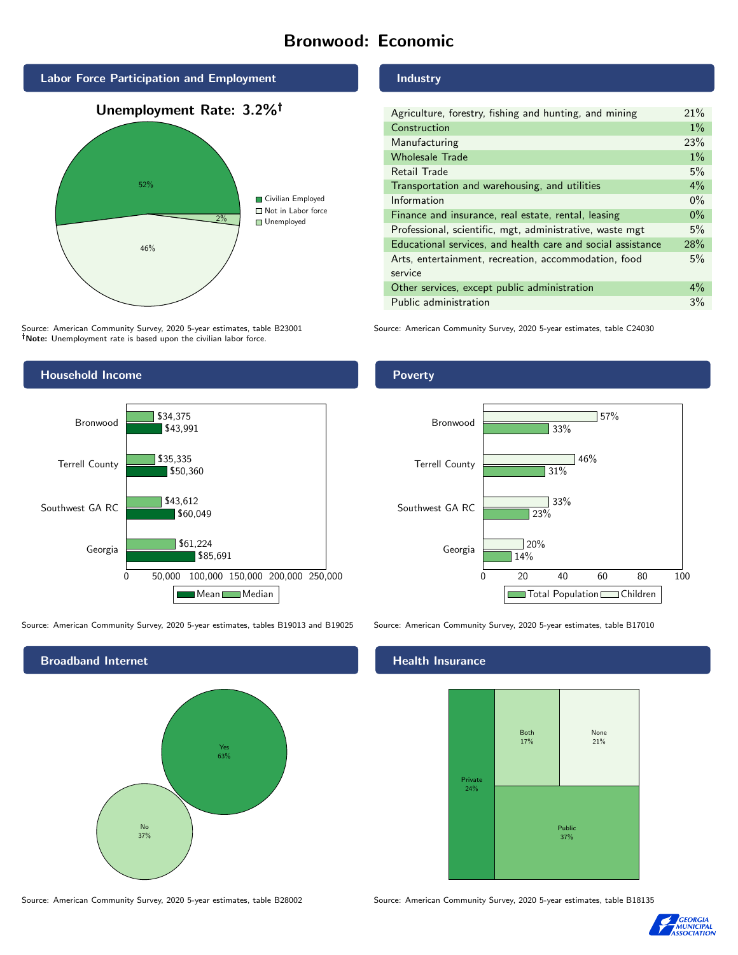# Bronwood: Economic



Source: American Community Survey, 2020 5-year estimates, table B23001 Note: Unemployment rate is based upon the civilian labor force.

## Industry

| Agriculture, forestry, fishing and hunting, and mining      | 21%   |
|-------------------------------------------------------------|-------|
| Construction                                                | $1\%$ |
| Manufacturing                                               | 23%   |
| <b>Wholesale Trade</b>                                      | $1\%$ |
| Retail Trade                                                | 5%    |
| Transportation and warehousing, and utilities               | $4\%$ |
| Information                                                 | $0\%$ |
| Finance and insurance, real estate, rental, leasing         | $0\%$ |
| Professional, scientific, mgt, administrative, waste mgt    | 5%    |
| Educational services, and health care and social assistance | 28%   |
| Arts, entertainment, recreation, accommodation, food        | 5%    |
| service                                                     |       |
| Other services, except public administration                | $4\%$ |
| Public administration                                       | 3%    |

Source: American Community Survey, 2020 5-year estimates, table C24030



Source: American Community Survey, 2020 5-year estimates, tables B19013 and B19025 Source: American Community Survey, 2020 5-year estimates, table B17010



Poverty



## **Health Insurance**



Source: American Community Survey, 2020 5-year estimates, table B28002 Source: American Community Survey, 2020 5-year estimates, table B18135